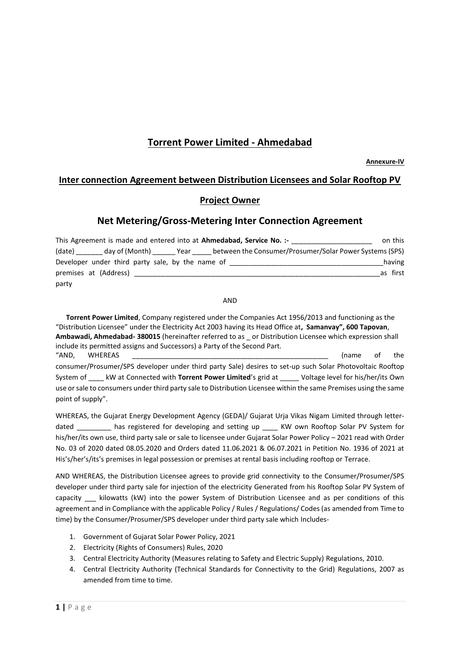# **Torrent Power Limited - Ahmedabad**

**Annexure-IV**

## **Inter connection Agreement between Distribution Licensees and Solar Rooftop PV**

## **Project Owner**

## **Net Metering/Gross-Metering Inter Connection Agreement**

| This Agreement is made and entered into at <b>Ahmedabad, Service No.:</b> -<br>on this |                                                  |  |  |                                                                                                              |          |
|----------------------------------------------------------------------------------------|--------------------------------------------------|--|--|--------------------------------------------------------------------------------------------------------------|----------|
|                                                                                        |                                                  |  |  | (date) _________ day of (Month) _______ Year _______ between the Consumer/Prosumer/Solar Power Systems (SPS) |          |
|                                                                                        | Developer under third party sale, by the name of |  |  |                                                                                                              | having   |
|                                                                                        | premises at (Address)                            |  |  |                                                                                                              | as first |
| party                                                                                  |                                                  |  |  |                                                                                                              |          |

AND

 **Torrent Power Limited**, Company registered under the Companies Act 1956/2013 and functioning as the "Distribution Licensee" under the Electricity Act 2003 having its Head Office at**, Samanvay", 600 Tapovan**, **Ambawadi, Ahmedabad- 380015** (hereinafter referred to as \_ or Distribution Licensee which expression shall include its permitted assigns and Successors) a Party of the Second Part. "AND, WHEREAS \_\_\_\_\_\_\_\_\_\_\_\_\_\_\_\_\_\_\_\_\_\_\_\_\_\_\_\_\_\_\_\_\_\_\_\_\_\_\_\_\_\_\_\_\_\_\_\_\_\_\_ (name of the consumer/Prosumer/SPS developer under third party Sale) desires to set-up such Solar Photovoltaic Rooftop System of \_\_\_\_ kW at Connected with **Torrent Power Limited**'s grid at \_\_\_\_\_ Voltage level for his/her/its Own use or sale to consumers under third party sale to Distribution Licensee within the same Premises using the same point of supply".

WHEREAS, the Gujarat Energy Development Agency (GEDA)/ Gujarat Urja Vikas Nigam Limited through letterdated \_\_\_\_\_\_\_\_ has registered for developing and setting up \_\_\_\_ KW own Rooftop Solar PV System for his/her/its own use, third party sale or sale to licensee under Gujarat Solar Power Policy – 2021 read with Order No. 03 of 2020 dated 08.05.2020 and Orders dated 11.06.2021 & 06.07.2021 in Petition No. 1936 of 2021 at His's/her's/its's premises in legal possession or premises at rental basis including rooftop or Terrace.

AND WHEREAS, the Distribution Licensee agrees to provide grid connectivity to the Consumer/Prosumer/SPS developer under third party sale for injection of the electricity Generated from his Rooftop Solar PV System of capacity Lilowatts (kW) into the power System of Distribution Licensee and as per conditions of this agreement and in Compliance with the applicable Policy / Rules / Regulations/ Codes (as amended from Time to time) by the Consumer/Prosumer/SPS developer under third party sale which Includes-

- 1. Government of Gujarat Solar Power Policy, 2021
- 2. Electricity (Rights of Consumers) Rules, 2020
- 3. Central Electricity Authority (Measures relating to Safety and Electric Supply) Regulations, 2010.
- 4. Central Electricity Authority (Technical Standards for Connectivity to the Grid) Regulations, 2007 as amended from time to time.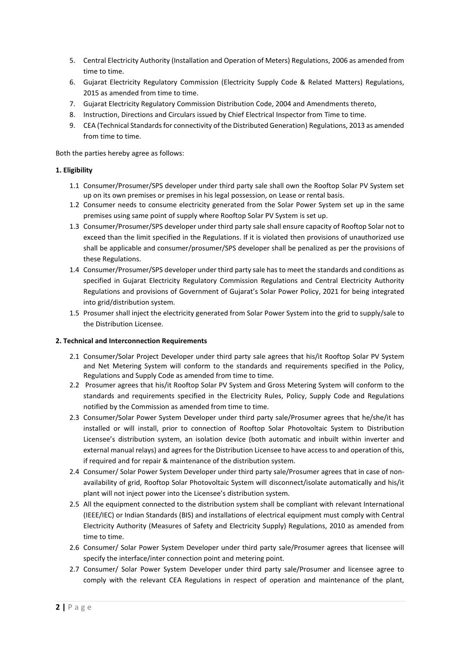- 5. Central Electricity Authority (Installation and Operation of Meters) Regulations, 2006 as amended from time to time.
- 6. Gujarat Electricity Regulatory Commission (Electricity Supply Code & Related Matters) Regulations, 2015 as amended from time to time.
- 7. Gujarat Electricity Regulatory Commission Distribution Code, 2004 and Amendments thereto,
- 8. Instruction, Directions and Circulars issued by Chief Electrical Inspector from Time to time.
- 9. CEA (Technical Standards for connectivity of the Distributed Generation) Regulations, 2013 as amended from time to time.

Both the parties hereby agree as follows:

## **1. Eligibility**

- 1.1 Consumer/Prosumer/SPS developer under third party sale shall own the Rooftop Solar PV System set up on its own premises or premises in his legal possession, on Lease or rental basis.
- 1.2 Consumer needs to consume electricity generated from the Solar Power System set up in the same premises using same point of supply where Rooftop Solar PV System is set up.
- 1.3 Consumer/Prosumer/SPS developer under third party sale shall ensure capacity of Rooftop Solar not to exceed than the limit specified in the Regulations. If it is violated then provisions of unauthorized use shall be applicable and consumer/prosumer/SPS developer shall be penalized as per the provisions of these Regulations.
- 1.4 Consumer/Prosumer/SPS developer under third party sale has to meet the standards and conditions as specified in Gujarat Electricity Regulatory Commission Regulations and Central Electricity Authority Regulations and provisions of Government of Gujarat's Solar Power Policy, 2021 for being integrated into grid/distribution system.
- 1.5 Prosumer shall inject the electricity generated from Solar Power System into the grid to supply/sale to the Distribution Licensee.

## **2. Technical and Interconnection Requirements**

- 2.1 Consumer/Solar Project Developer under third party sale agrees that his/it Rooftop Solar PV System and Net Metering System will conform to the standards and requirements specified in the Policy, Regulations and Supply Code as amended from time to time.
- 2.2 Prosumer agrees that his/it Rooftop Solar PV System and Gross Metering System will conform to the standards and requirements specified in the Electricity Rules, Policy, Supply Code and Regulations notified by the Commission as amended from time to time.
- 2.3 Consumer/Solar Power System Developer under third party sale/Prosumer agrees that he/she/it has installed or will install, prior to connection of Rooftop Solar Photovoltaic System to Distribution Licensee's distribution system, an isolation device (both automatic and inbuilt within inverter and external manual relays) and agrees for the Distribution Licensee to have access to and operation of this, if required and for repair & maintenance of the distribution system.
- 2.4 Consumer/ Solar Power System Developer under third party sale/Prosumer agrees that in case of nonavailability of grid, Rooftop Solar Photovoltaic System will disconnect/isolate automatically and his/it plant will not inject power into the Licensee's distribution system.
- 2.5 All the equipment connected to the distribution system shall be compliant with relevant International (IEEE/IEC) or Indian Standards (BIS) and installations of electrical equipment must comply with Central Electricity Authority (Measures of Safety and Electricity Supply) Regulations, 2010 as amended from time to time.
- 2.6 Consumer/ Solar Power System Developer under third party sale/Prosumer agrees that licensee will specify the interface/inter connection point and metering point.
- 2.7 Consumer/ Solar Power System Developer under third party sale/Prosumer and licensee agree to comply with the relevant CEA Regulations in respect of operation and maintenance of the plant,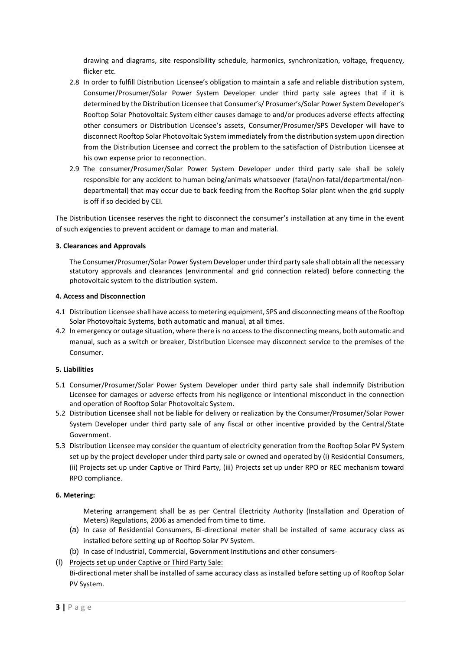drawing and diagrams, site responsibility schedule, harmonics, synchronization, voltage, frequency, flicker etc.

- 2.8 In order to fulfill Distribution Licensee's obligation to maintain a safe and reliable distribution system, Consumer/Prosumer/Solar Power System Developer under third party sale agrees that if it is determined by the Distribution Licensee that Consumer's/ Prosumer's/Solar Power System Developer's Rooftop Solar Photovoltaic System either causes damage to and/or produces adverse effects affecting other consumers or Distribution Licensee's assets, Consumer/Prosumer/SPS Developer will have to disconnect Rooftop Solar Photovoltaic System immediately from the distribution system upon direction from the Distribution Licensee and correct the problem to the satisfaction of Distribution Licensee at his own expense prior to reconnection.
- 2.9 The consumer/Prosumer/Solar Power System Developer under third party sale shall be solely responsible for any accident to human being/animals whatsoever (fatal/non-fatal/departmental/nondepartmental) that may occur due to back feeding from the Rooftop Solar plant when the grid supply is off if so decided by CEI.

The Distribution Licensee reserves the right to disconnect the consumer's installation at any time in the event of such exigencies to prevent accident or damage to man and material.

## **3. Clearances and Approvals**

The Consumer/Prosumer/Solar Power System Developer under third party sale shall obtain all the necessary statutory approvals and clearances (environmental and grid connection related) before connecting the photovoltaic system to the distribution system.

## **4. Access and Disconnection**

- 4.1 Distribution Licensee shall have access to metering equipment, SPS and disconnecting means of the Rooftop Solar Photovoltaic Systems, both automatic and manual, at all times.
- 4.2 In emergency or outage situation, where there is no access to the disconnecting means, both automatic and manual, such as a switch or breaker, Distribution Licensee may disconnect service to the premises of the Consumer.

## **5. Liabilities**

- 5.1 Consumer/Prosumer/Solar Power System Developer under third party sale shall indemnify Distribution Licensee for damages or adverse effects from his negligence or intentional misconduct in the connection and operation of Rooftop Solar Photovoltaic System.
- 5.2 Distribution Licensee shall not be liable for delivery or realization by the Consumer/Prosumer/Solar Power System Developer under third party sale of any fiscal or other incentive provided by the Central/State Government.
- 5.3 Distribution Licensee may consider the quantum of electricity generation from the Rooftop Solar PV System set up by the project developer under third party sale or owned and operated by (i) Residential Consumers, (ii) Projects set up under Captive or Third Party, (iii) Projects set up under RPO or REC mechanism toward RPO compliance.

## **6. Metering:**

Metering arrangement shall be as per Central Electricity Authority (Installation and Operation of Meters) Regulations, 2006 as amended from time to time.

- (a) In case of Residential Consumers, Bi-directional meter shall be installed of same accuracy class as installed before setting up of Rooftop Solar PV System.
- (b) In case of Industrial, Commercial, Government Institutions and other consumers-
- (I) Projects set up under Captive or Third Party Sale:

Bi-directional meter shall be installed of same accuracy class as installed before setting up of Rooftop Solar PV System.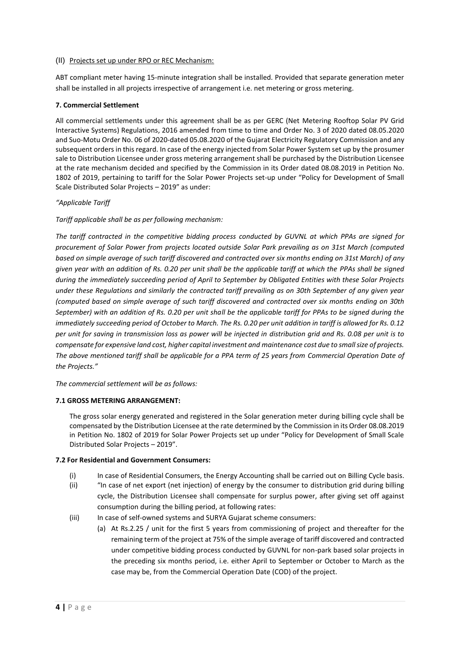#### (II) Projects set up under RPO or REC Mechanism:

ABT compliant meter having 15-minute integration shall be installed. Provided that separate generation meter shall be installed in all projects irrespective of arrangement i.e. net metering or gross metering.

## **7. Commercial Settlement**

All commercial settlements under this agreement shall be as per GERC (Net Metering Rooftop Solar PV Grid Interactive Systems) Regulations, 2016 amended from time to time and Order No. 3 of 2020 dated 08.05.2020 and Suo-Motu Order No. 06 of 2020-dated 05.08.2020 of the Gujarat Electricity Regulatory Commission and any subsequent orders in this regard. In case of the energy injected from Solar Power System set up by the prosumer sale to Distribution Licensee under gross metering arrangement shall be purchased by the Distribution Licensee at the rate mechanism decided and specified by the Commission in its Order dated 08.08.2019 in Petition No. 1802 of 2019, pertaining to tariff for the Solar Power Projects set-up under "Policy for Development of Small Scale Distributed Solar Projects – 2019" as under:

#### *"Applicable Tariff*

*Tariff applicable shall be as per following mechanism:*

*The tariff contracted in the competitive bidding process conducted by GUVNL at which PPAs are signed for procurement of Solar Power from projects located outside Solar Park prevailing as on 31st March (computed based on simple average of such tariff discovered and contracted over six months ending on 31st March) of any given year with an addition of Rs. 0.20 per unit shall be the applicable tariff at which the PPAs shall be signed during the immediately succeeding period of April to September by Obligated Entities with these Solar Projects under these Regulations and similarly the contracted tariff prevailing as on 30th September of any given year (computed based on simple average of such tariff discovered and contracted over six months ending on 30th September) with an addition of Rs. 0.20 per unit shall be the applicable tariff for PPAs to be signed during the immediately succeeding period of October to March. The Rs. 0.20 per unit addition in tariff is allowed for Rs. 0.12 per unit for saving in transmission loss as power will be injected in distribution grid and Rs. 0.08 per unit is to compensate for expensive land cost, higher capital investment and maintenance cost due to small size of projects. The above mentioned tariff shall be applicable for a PPA term of 25 years from Commercial Operation Date of the Projects."*

*The commercial settlement will be as follows:*

#### **7.1 GROSS METERING ARRANGEMENT:**

The gross solar energy generated and registered in the Solar generation meter during billing cycle shall be compensated by the Distribution Licensee at the rate determined by the Commission in its Order 08.08.2019 in Petition No. 1802 of 2019 for Solar Power Projects set up under "Policy for Development of Small Scale Distributed Solar Projects – 2019".

#### **7.2 For Residential and Government Consumers:**

- (i) In case of Residential Consumers, the Energy Accounting shall be carried out on Billing Cycle basis.
- (ii) "In case of net export (net injection) of energy by the consumer to distribution grid during billing cycle, the Distribution Licensee shall compensate for surplus power, after giving set off against consumption during the billing period, at following rates:
- (iii) In case of self-owned systems and SURYA Gujarat scheme consumers:
	- (a) At Rs.2.25 / unit for the first 5 years from commissioning of project and thereafter for the remaining term of the project at 75% of the simple average of tariff discovered and contracted under competitive bidding process conducted by GUVNL for non-park based solar projects in the preceding six months period, i.e. either April to September or October to March as the case may be, from the Commercial Operation Date (COD) of the project.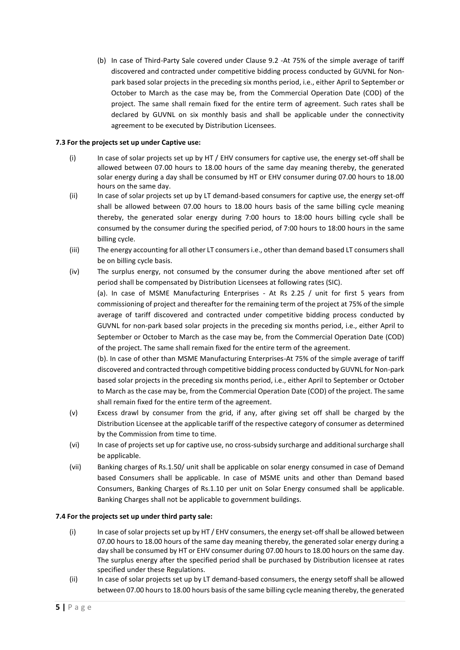(b) In case of Third-Party Sale covered under Clause 9.2 -At 75% of the simple average of tariff discovered and contracted under competitive bidding process conducted by GUVNL for Nonpark based solar projects in the preceding six months period, i.e., either April to September or October to March as the case may be, from the Commercial Operation Date (COD) of the project. The same shall remain fixed for the entire term of agreement. Such rates shall be declared by GUVNL on six monthly basis and shall be applicable under the connectivity agreement to be executed by Distribution Licensees.

## **7.3 For the projects set up under Captive use:**

- (i) In case of solar projects set up by HT / EHV consumers for captive use, the energy set-off shall be allowed between 07.00 hours to 18.00 hours of the same day meaning thereby, the generated solar energy during a day shall be consumed by HT or EHV consumer during 07.00 hours to 18.00 hours on the same day.
- (ii) In case of solar projects set up by LT demand-based consumers for captive use, the energy set-off shall be allowed between 07.00 hours to 18.00 hours basis of the same billing cycle meaning thereby, the generated solar energy during 7:00 hours to 18:00 hours billing cycle shall be consumed by the consumer during the specified period, of 7:00 hours to 18:00 hours in the same billing cycle.
- (iii) The energy accounting for all other LT consumers i.e., other than demand based LT consumers shall be on billing cycle basis.
- (iv) The surplus energy, not consumed by the consumer during the above mentioned after set off period shall be compensated by Distribution Licensees at following rates (SIC).

(a). In case of MSME Manufacturing Enterprises - At Rs 2.25 / unit for first 5 years from commissioning of project and thereafter for the remaining term of the project at 75% of the simple average of tariff discovered and contracted under competitive bidding process conducted by GUVNL for non-park based solar projects in the preceding six months period, i.e., either April to September or October to March as the case may be, from the Commercial Operation Date (COD) of the project. The same shall remain fixed for the entire term of the agreement.

(b). In case of other than MSME Manufacturing Enterprises-At 75% of the simple average of tariff discovered and contracted through competitive bidding process conducted by GUVNL for Non-park based solar projects in the preceding six months period, i.e., either April to September or October to March as the case may be, from the Commercial Operation Date (COD) of the project. The same shall remain fixed for the entire term of the agreement.

- (v) Excess drawl by consumer from the grid, if any, after giving set off shall be charged by the Distribution Licensee at the applicable tariff of the respective category of consumer as determined by the Commission from time to time.
- (vi) In case of projects set up for captive use, no cross-subsidy surcharge and additional surcharge shall be applicable.
- (vii) Banking charges of Rs.1.50/ unit shall be applicable on solar energy consumed in case of Demand based Consumers shall be applicable. In case of MSME units and other than Demand based Consumers, Banking Charges of Rs.1.10 per unit on Solar Energy consumed shall be applicable. Banking Charges shall not be applicable to government buildings.

## **7.4 For the projects set up under third party sale:**

- (i) In case of solar projects set up by HT / EHV consumers, the energy set-offshall be allowed between 07.00 hours to 18.00 hours of the same day meaning thereby, the generated solar energy during a day shall be consumed by HT or EHV consumer during 07.00 hours to 18.00 hours on the same day. The surplus energy after the specified period shall be purchased by Distribution licensee at rates specified under these Regulations.
- (ii) In case of solar projects set up by LT demand-based consumers, the energy setoff shall be allowed between 07.00 hours to 18.00 hours basis of the same billing cycle meaning thereby, the generated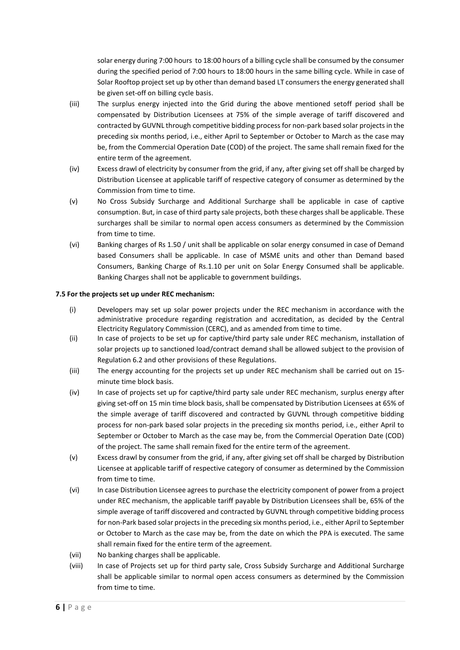solar energy during 7:00 hours to 18:00 hours of a billing cycle shall be consumed by the consumer during the specified period of 7:00 hours to 18:00 hours in the same billing cycle. While in case of Solar Rooftop project set up by other than demand based LT consumers the energy generated shall be given set-off on billing cycle basis.

- (iii) The surplus energy injected into the Grid during the above mentioned setoff period shall be compensated by Distribution Licensees at 75% of the simple average of tariff discovered and contracted by GUVNL through competitive bidding process for non-park based solar projects in the preceding six months period, i.e., either April to September or October to March as the case may be, from the Commercial Operation Date (COD) of the project. The same shall remain fixed for the entire term of the agreement.
- (iv) Excess drawl of electricity by consumer from the grid, if any, after giving set off shall be charged by Distribution Licensee at applicable tariff of respective category of consumer as determined by the Commission from time to time.
- (v) No Cross Subsidy Surcharge and Additional Surcharge shall be applicable in case of captive consumption. But, in case of third party sale projects, both these charges shall be applicable. These surcharges shall be similar to normal open access consumers as determined by the Commission from time to time.
- (vi) Banking charges of Rs 1.50 / unit shall be applicable on solar energy consumed in case of Demand based Consumers shall be applicable. In case of MSME units and other than Demand based Consumers, Banking Charge of Rs.1.10 per unit on Solar Energy Consumed shall be applicable. Banking Charges shall not be applicable to government buildings.

## **7.5 For the projects set up under REC mechanism:**

- (i) Developers may set up solar power projects under the REC mechanism in accordance with the administrative procedure regarding registration and accreditation, as decided by the Central Electricity Regulatory Commission (CERC), and as amended from time to time.
- (ii) In case of projects to be set up for captive/third party sale under REC mechanism, installation of solar projects up to sanctioned load/contract demand shall be allowed subject to the provision of Regulation 6.2 and other provisions of these Regulations.
- (iii) The energy accounting for the projects set up under REC mechanism shall be carried out on 15 minute time block basis.
- (iv) In case of projects set up for captive/third party sale under REC mechanism, surplus energy after giving set-off on 15 min time block basis, shall be compensated by Distribution Licensees at 65% of the simple average of tariff discovered and contracted by GUVNL through competitive bidding process for non-park based solar projects in the preceding six months period, i.e., either April to September or October to March as the case may be, from the Commercial Operation Date (COD) of the project. The same shall remain fixed for the entire term of the agreement.
- (v) Excess drawl by consumer from the grid, if any, after giving set off shall be charged by Distribution Licensee at applicable tariff of respective category of consumer as determined by the Commission from time to time.
- (vi) In case Distribution Licensee agrees to purchase the electricity component of power from a project under REC mechanism, the applicable tariff payable by Distribution Licensees shall be, 65% of the simple average of tariff discovered and contracted by GUVNL through competitive bidding process for non-Park based solar projects in the preceding six months period, i.e., either April to September or October to March as the case may be, from the date on which the PPA is executed. The same shall remain fixed for the entire term of the agreement.
- (vii) No banking charges shall be applicable.
- (viii) In case of Projects set up for third party sale, Cross Subsidy Surcharge and Additional Surcharge shall be applicable similar to normal open access consumers as determined by the Commission from time to time.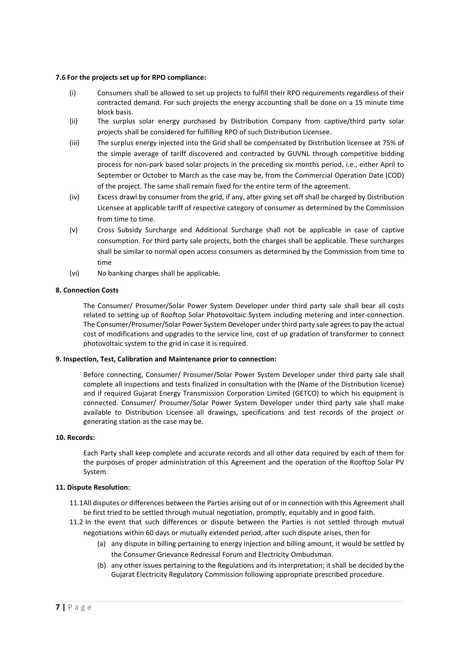#### **7.6 For the projects set up for RPO compliance:**

- (i) Consumers shall be allowed to set up projects to fulfill their RPO requirements regardless of their contracted demand. For such projects the energy accounting shall be done on a 15 minute time block basis.
- (ii) The surplus solar energy purchased by Distribution Company from captive/third party solar projects shall be considered for fulfilling RPO of such Distribution Licensee.
- (iii) The surplus energy injected into the Grid shall be compensated by Distribution licensee at 75% of the simple average of tariff discovered and contracted by GUVNL through competitive bidding process for non-park based solar projects in the preceding six months period, i.e., either April to September or October to March as the case may be, from the Commercial Operation Date (COD) of the project. The same shall remain fixed for the entire term of the agreement.
- (iv) Excess drawl by consumer from the grid, if any, after giving set off shall be charged by Distribution Licensee at applicable tariff of respective category of consumer as determined by the Commission from time to time.
- (v) Cross Subsidy Surcharge and Additional Surcharge shall not be applicable in case of captive consumption. For third party sale projects, both the charges shall be applicable. These surcharges shall be similar to normal open access consumers as determined by the Commission from time to time
- (vi) No banking charges shall be applicable.

## **8. Connection Costs**

The Consumer/ Prosumer/Solar Power System Developer under third party sale shall bear all costs related to setting up of Rooftop Solar Photovoltaic System including metering and inter-connection. The Consumer/Prosumer/Solar Power System Developer under third party sale agrees to pay the actual cost of modifications and upgrades to the service line, cost of up gradation of transformer to connect photovoltaic system to the grid in case it is required.

## **9. Inspection, Test, Calibration and Maintenance prior to connection:**

Before connecting, Consumer/ Prosumer/Solar Power System Developer under third party sale shall complete all inspections and tests finalized in consultation with the (Name of the Distribution license) and if required Gujarat Energy Transmission Corporation Limited (GETCO) to which his equipment is connected. Consumer/ Prosumer/Solar Power System Developer under third party sale shall make available to Distribution Licensee all drawings, specifications and test records of the project or generating station as the case may be.

## **10. Records:**

Each Party shall keep complete and accurate records and all other data required by each of them for the purposes of proper administration of this Agreement and the operation of the Rooftop Solar PV System.

## **11. Dispute Resolution:**

11.1All disputes or differences between the Parties arising out of or in connection with this Agreement shall be first tried to be settled through mutual negotiation, promptly, equitably and in good faith.

- 11.2 In the event that such differences or dispute between the Parties is not settled through mutual negotiations within 60 days or mutually extended period, after such dispute arises, then for
	- (a) any dispute in billing pertaining to energy injection and billing amount, it would be settled by the Consumer Grievance Redressal Forum and Electricity Ombudsman.
	- (b) any other issues pertaining to the Regulations and its interpretation; it shall be decided by the Gujarat Electricity Regulatory Commission following appropriate prescribed procedure.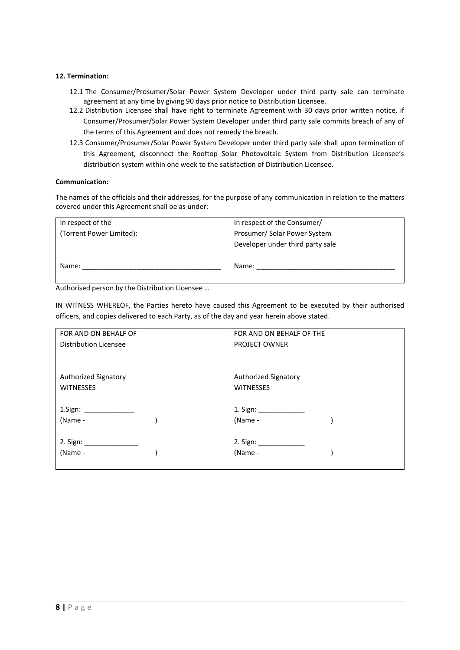## **12. Termination:**

- 12.1 The Consumer/Prosumer/Solar Power System Developer under third party sale can terminate agreement at any time by giving 90 days prior notice to Distribution Licensee.
- 12.2 Distribution Licensee shall have right to terminate Agreement with 30 days prior written notice, if Consumer/Prosumer/Solar Power System Developer under third party sale commits breach of any of the terms of this Agreement and does not remedy the breach.
- 12.3 Consumer/Prosumer/Solar Power System Developer under third party sale shall upon termination of this Agreement, disconnect the Rooftop Solar Photovoltaic System from Distribution Licensee's distribution system within one week to the satisfaction of Distribution Licensee.

## **Communication:**

The names of the officials and their addresses, for the purpose of any communication in relation to the matters covered under this Agreement shall be as under:

| In respect of the        | In respect of the Consumer/      |
|--------------------------|----------------------------------|
| (Torrent Power Limited): | Prosumer/Solar Power System      |
|                          | Developer under third party sale |
| Name:                    | Name:                            |

Authorised person by the Distribution Licensee …

IN WITNESS WHEREOF, the Parties hereto have caused this Agreement to be executed by their authorised officers, and copies delivered to each Party, as of the day and year herein above stated.

| FOR AND ON BEHALF OF         | FOR AND ON BEHALF OF THE    |
|------------------------------|-----------------------------|
| <b>Distribution Licensee</b> | <b>PROJECT OWNER</b>        |
|                              |                             |
|                              |                             |
| Authorized Signatory         | <b>Authorized Signatory</b> |
| <b>WITNESSES</b>             | <b>WITNESSES</b>            |
|                              |                             |
| 1.Sign: _______________      | 1. Sign: _______________    |
| (Name -                      | (Name -                     |
|                              |                             |
|                              |                             |
| (Name -                      | (Name -                     |
|                              |                             |